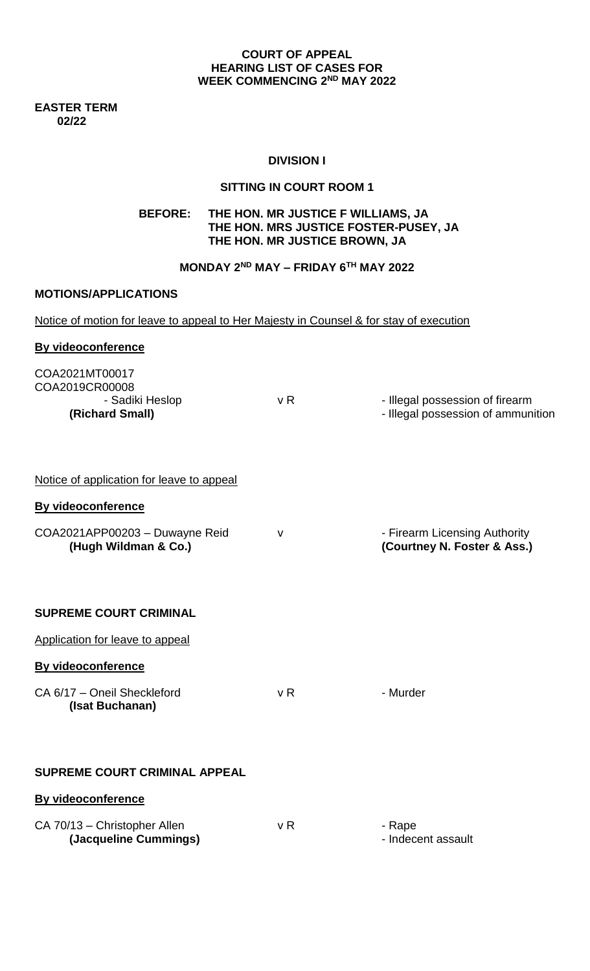### **COURT OF APPEAL HEARING LIST OF CASES FOR WEEK COMMENCING 2 ND MAY 2022**

**EASTER TERM 02/22**

## **DIVISION I**

### **SITTING IN COURT ROOM 1**

# **BEFORE: THE HON. MR JUSTICE F WILLIAMS, JA THE HON. MRS JUSTICE FOSTER-PUSEY, JA THE HON. MR JUSTICE BROWN, JA**

# **MONDAY 2ND MAY – FRIDAY 6TH MAY 2022**

### **MOTIONS/APPLICATIONS**

Notice of motion for leave to appeal to Her Majesty in Counsel & for stay of execution

| <b>By videoconference</b>                                              |                |                                                                       |
|------------------------------------------------------------------------|----------------|-----------------------------------------------------------------------|
| COA2021MT00017<br>COA2019CR00008<br>- Sadiki Heslop<br>(Richard Small) | v <sub>R</sub> | - Illegal possession of firearm<br>- Illegal possession of ammunition |
| Notice of application for leave to appeal                              |                |                                                                       |
| <b>By videoconference</b>                                              |                |                                                                       |
| COA2021APP00203 - Duwayne Reid<br>(Hugh Wildman & Co.)                 | v              | - Firearm Licensing Authority<br>(Courtney N. Foster & Ass.)          |
| <b>SUPREME COURT CRIMINAL</b>                                          |                |                                                                       |
| Application for leave to appeal                                        |                |                                                                       |
| <b>By videoconference</b>                                              |                |                                                                       |
| CA 6/17 - Oneil Sheckleford<br>(Isat Buchanan)                         | v R            | - Murder                                                              |
| SUPREME COURT CRIMINAL APPEAL                                          |                |                                                                       |
| <b>By videoconference</b>                                              |                |                                                                       |
| CA 70/13 - Christopher Allen<br>(Jacqueline Cummings)                  | v R            | - Rape<br>- Indecent assault                                          |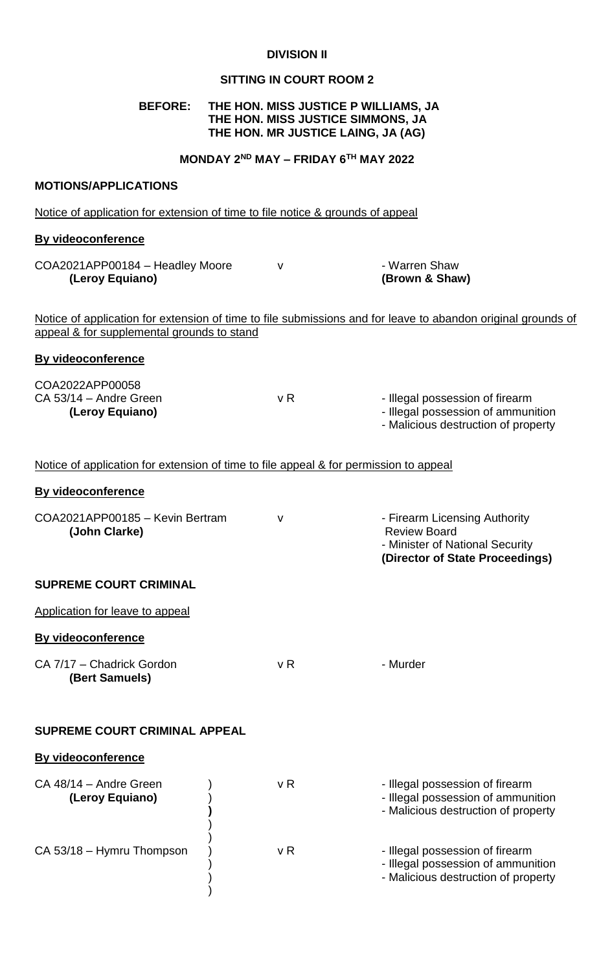### **DIVISION II**

## **SITTING IN COURT ROOM 2**

### **BEFORE: THE HON. MISS JUSTICE P WILLIAMS, JA THE HON. MISS JUSTICE SIMMONS, JA THE HON. MR JUSTICE LAING, JA (AG)**

**MONDAY 2ND MAY – FRIDAY 6TH MAY 2022**

### **MOTIONS/APPLICATIONS**

Notice of application for extension of time to file notice & grounds of appeal

#### **By videoconference**

**By videoconference**

COA2021APP00184 – Headley Moore v v · Warren Shaw **(Leroy Equiano) (Brown & Shaw)** 

**(Director of State Proceedings)** 

Notice of application for extension of time to file submissions and for leave to abandon original grounds of appeal & for supplemental grounds to stand

| COA2022APP00058<br>CA 53/14 - Andre Green<br>(Leroy Equiano)                          | v R | - Illegal possession of firearm<br>- Illegal possession of ammunition<br>- Malicious destruction of property |
|---------------------------------------------------------------------------------------|-----|--------------------------------------------------------------------------------------------------------------|
| Notice of application for extension of time to file appeal & for permission to appeal |     |                                                                                                              |

### **By videoconference**

| COA2021APP00185 - Kevin Bertram | - Firearm Licensing Authority   |
|---------------------------------|---------------------------------|
| (John Clarke)                   | <b>Review Board</b>             |
|                                 | - Minister of National Security |

### **SUPREME COURT CRIMINAL**

| Application for leave to appeal             |     |          |
|---------------------------------------------|-----|----------|
| <b>By videoconference</b>                   |     |          |
| CA 7/17 – Chadrick Gordon<br>(Bert Samuels) | v R | - Murder |

)

#### **SUPREME COURT CRIMINAL APPEAL**

#### **By videoconference**

| CA 48/14 - Andre Green<br>(Leroy Equiano) | v R | - Illegal possession of firearm<br>- Illegal possession of ammunition<br>- Malicious destruction of property |
|-------------------------------------------|-----|--------------------------------------------------------------------------------------------------------------|
| CA 53/18 - Hymru Thompson                 | v R | - Illegal possession of firearm<br>- Illegal possession of ammunition<br>- Malicious destruction of property |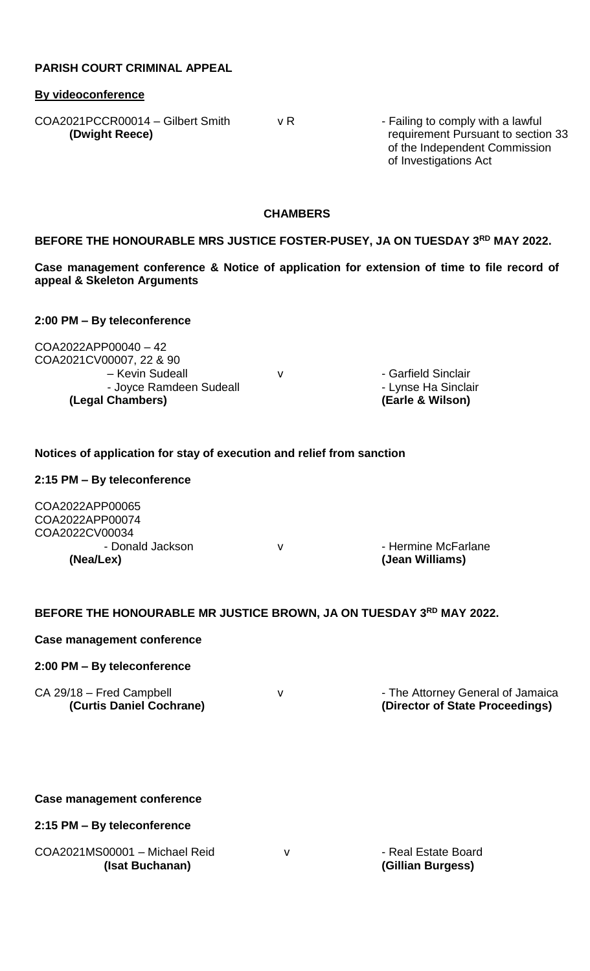### **PARISH COURT CRIMINAL APPEAL**

### **By videoconference**

 $COA2021PCCRO0014 - Gilbert Smith$  v R - Failing to comply with a lawful

**(Dwight Reece) requirement Pursuant to section 33**  of the Independent Commission of Investigations Act

### **CHAMBERS**

### **BEFORE THE HONOURABLE MRS JUSTICE FOSTER-PUSEY, JA ON TUESDAY 3 RD MAY 2022.**

**Case management conference & Notice of application for extension of time to file record of appeal & Skeleton Arguments** 

### **2:00 PM – By teleconference**

COA2022APP00040 – 42 COA2021CV00007, 22 & 90 – Kevin Sudeall V V - Garfield Sinclair - Joyce Ramdeen Sudeall **Access 12 Contract Contract Access** - Lynse Ha Sinclair **(Legal Chambers) (Earle & Wilson)**

### **Notices of application for stay of execution and relief from sanction**

### **2:15 PM – By teleconference**

COA2022APP00065 COA2022APP00074 COA2022CV00034 **(Nea/Lex) (Jean Williams)**

- Donald Jackson v - Hermine McFarlane

### **BEFORE THE HONOURABLE MR JUSTICE BROWN, JA ON TUESDAY 3 RD MAY 2022.**

### **Case management conference**

### **2:00 PM – By teleconference**

CA 29/18 – Fred Campbell  $V$   $V$  - The Attorney General of Jamaica

**(Curtis Daniel Cochrane) (Director of State Proceedings)** 

#### **Case management conference**

### **2:15 PM – By teleconference**

COA2021MS00001 – Michael Reid v v - Real Estate Board **(Isat Buchanan) (Gillian Burgess)**